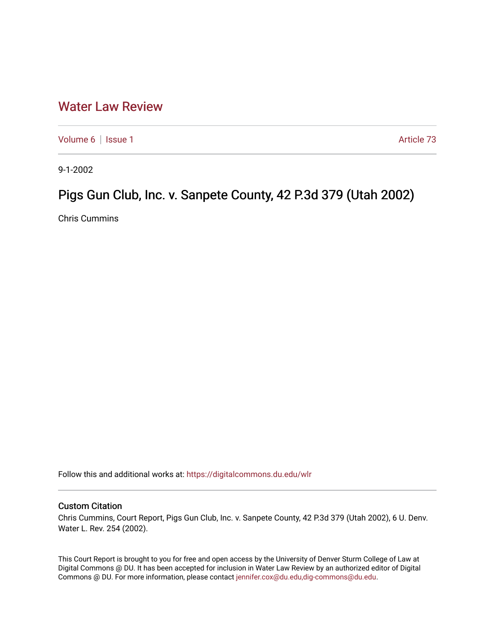## [Water Law Review](https://digitalcommons.du.edu/wlr)

[Volume 6](https://digitalcommons.du.edu/wlr/vol6) | [Issue 1](https://digitalcommons.du.edu/wlr/vol6/iss1) Article 73

9-1-2002

## Pigs Gun Club, Inc. v. Sanpete County, 42 P.3d 379 (Utah 2002)

Chris Cummins

Follow this and additional works at: [https://digitalcommons.du.edu/wlr](https://digitalcommons.du.edu/wlr?utm_source=digitalcommons.du.edu%2Fwlr%2Fvol6%2Fiss1%2F73&utm_medium=PDF&utm_campaign=PDFCoverPages) 

## Custom Citation

Chris Cummins, Court Report, Pigs Gun Club, Inc. v. Sanpete County, 42 P.3d 379 (Utah 2002), 6 U. Denv. Water L. Rev. 254 (2002).

This Court Report is brought to you for free and open access by the University of Denver Sturm College of Law at Digital Commons @ DU. It has been accepted for inclusion in Water Law Review by an authorized editor of Digital Commons @ DU. For more information, please contact [jennifer.cox@du.edu,dig-commons@du.edu.](mailto:jennifer.cox@du.edu,dig-commons@du.edu)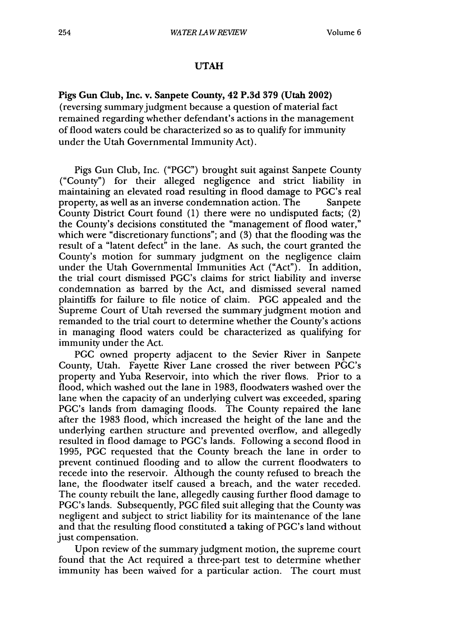## **UTAH**

**Pigs Gun Club, Inc. v. Sanpete County, 42 P.3d 379 (Utah 2002)** (reversing summary judgment because a question of material fact remained regarding whether defendant's actions in the management of flood waters could be characterized so as to qualify for immunity under the Utah Governmental Immunity Act).

Pigs Gun Club, Inc. **("PGC")** brought suit against Sanpete County ("County") for their alleged negligence and strict liability in maintaining an elevated road resulting in flood damage to PGC's real property, as well as an inverse condemnation action. The Sanpete County District Court found **(1)** there were no undisputed facts; (2) the County's decisions constituted the "management of flood water," which were "discretionary functions"; and **(3)** that the flooding was the result of a "latent defect" in the lane. As such, the court granted the County's motion for summary judgment on the negligence claim under the Utah Governmental Immunities Act ("Act"). In addition, the trial court dismissed PGC's claims for strict liability and inverse condemnation as barred **by** the Act, and dismissed several named plaintiffs for failure to file notice of claim. **PGC** appealed and the Supreme Court of Utah reversed the summary judgment motion and remanded to the trial court to determine whether the County's actions in managing flood waters could be characterized as qualifying for immunity under the Act.

**PGC** owned property adjacent to the Sevier River in Sanpete County, Utah. Fayette River Lane crossed the river between PGC's property and Yuba Reservoir, into which the river flows. Prior to a flood, which washed out the lane in **1983,** floodwaters washed over the lane when the capacity of an underlying culvert was exceeded, sparing PGC's lands from damaging floods. The County repaired the lane after the **1983** flood, which increased the height of the lane and the underlying earthen structure and prevented overflow, and allegedly resulted in flood damage to PGC's lands. Following a second flood in **1995, PGC** requested that the County breach the lane in order to prevent continued flooding and to allow the current floodwaters to recede into the reservoir. Although the county refused to breach the lane, the floodwater itself caused a breach, and the water receded. The county rebuilt the lane, allegedly causing further flood damage to PGC's lands. Subsequently, **PGC** filed suit alleging that the County was negligent and subject to strict liability for its maintenance of the lane and that the resulting flood constituted a taking of PGC's land without just compensation.

Upon review of the summary judgment motion, the supreme court found that the Act required a three-part test to determine whether immunity has been waived for a particular action. The court must